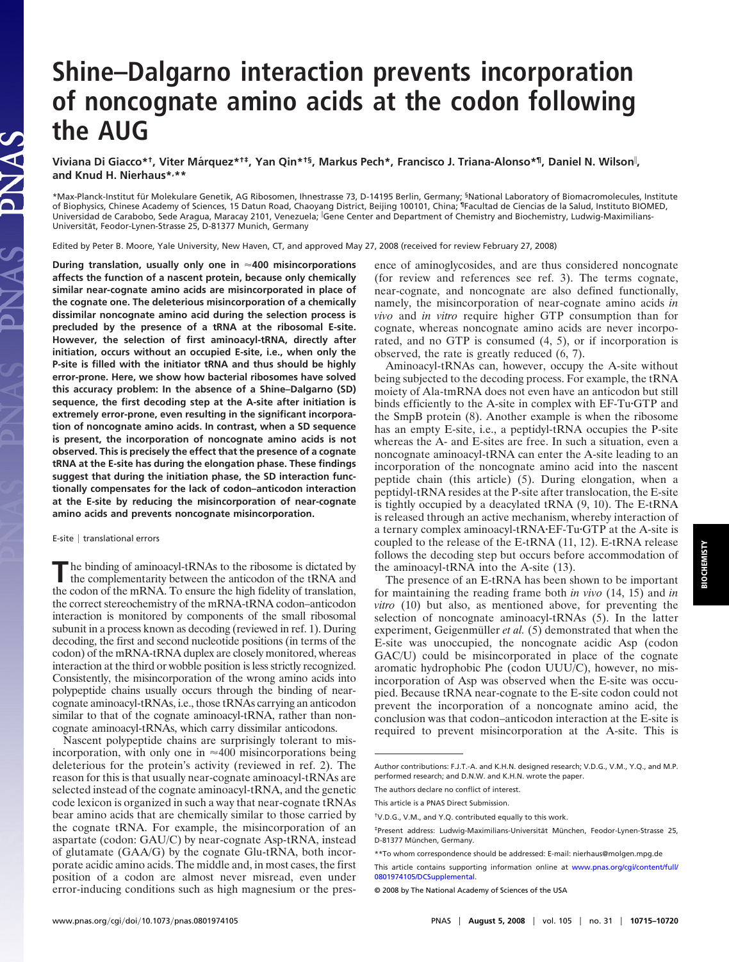# **Shine–Dalgarno interaction prevents incorporation of noncognate amino acids at the codon following the AUG**

**Viviana Di Giacco\*†, Viter Ma´rquez\*†‡, Yan Qin\*†§, Markus Pech\*, Francisco J. Triana-Alonso\*¶, Daniel N. Wilson , and Knud H. Nierhaus\*, \*\***

\*Max-Planck-Institut für Molekulare Genetik, AG Ribosomen, Ihnestrasse 73, D-14195 Berlin, Germany; <sup>§</sup>National Laboratory of Biomacromolecules, Institute of Biophysics, Chinese Academy of Sciences, 15 Datun Road, Chaoyang District, Beijing 100101, China; ¶Facultad de Ciencias de la Salud, Instituto BIOMED, Universidad de Carabobo, Sede Aragua, Maracay 2101, Venezuela; <sup>|</sup>Gene Center and Department of Chemistry and Biochemistry, Ludwig-Maximilians-Universität, Feodor-Lynen-Strasse 25, D-81377 Munich, Germany

Edited by Peter B. Moore, Yale University, New Haven, CT, and approved May 27, 2008 (received for review February 27, 2008)

**During translation, usually only one in 400 misincorporations affects the function of a nascent protein, because only chemically similar near-cognate amino acids are misincorporated in place of the cognate one. The deleterious misincorporation of a chemically dissimilar noncognate amino acid during the selection process is precluded by the presence of a tRNA at the ribosomal E-site. However, the selection of first aminoacyl-tRNA, directly after initiation, occurs without an occupied E-site, i.e., when only the P-site is filled with the initiator tRNA and thus should be highly error-prone. Here, we show how bacterial ribosomes have solved this accuracy problem: In the absence of a Shine–Dalgarno (SD) sequence, the first decoding step at the A-site after initiation is extremely error-prone, even resulting in the significant incorporation of noncognate amino acids. In contrast, when a SD sequence is present, the incorporation of noncognate amino acids is not observed. This is precisely the effect that the presence of a cognate tRNA at the E-site has during the elongation phase. These findings suggest that during the initiation phase, the SD interaction functionally compensates for the lack of codon–anticodon interaction at the E-site by reducing the misincorporation of near-cognate amino acids and prevents noncognate misincorporation.**

#### $E\text{-site}$  | translational errors

JAS

**The binding of aminoacyl-tRNAs to the ribosome is dictated by<br>the complementarity between the anticodon of the tRNA and** the complementarity between the anticodon of the tRNA and the codon of the mRNA. To ensure the high fidelity of translation, the correct stereochemistry of the mRNA-tRNA codon–anticodon interaction is monitored by components of the small ribosomal subunit in a process known as decoding (reviewed in ref. 1). During decoding, the first and second nucleotide positions (in terms of the codon) of the mRNA-tRNA duplex are closely monitored, whereas interaction at the third or wobble position is less strictly recognized. Consistently, the misincorporation of the wrong amino acids into polypeptide chains usually occurs through the binding of nearcognate aminoacyl-tRNAs, i.e., those tRNAs carrying an anticodon similar to that of the cognate aminoacyl-tRNA, rather than noncognate aminoacyl-tRNAs, which carry dissimilar anticodons.

Nascent polypeptide chains are surprisingly tolerant to misincorporation, with only one in  $\approx 400$  misincorporations being deleterious for the protein's activity (reviewed in ref. 2). The reason for this is that usually near-cognate aminoacyl-tRNAs are selected instead of the cognate aminoacyl-tRNA, and the genetic code lexicon is organized in such a way that near-cognate tRNAs bear amino acids that are chemically similar to those carried by the cognate tRNA. For example, the misincorporation of an aspartate (codon: GAU/C) by near-cognate Asp-tRNA, instead of glutamate (GAA/G) by the cognate Glu-tRNA, both incorporate acidic amino acids. The middle and, in most cases, the first position of a codon are almost never misread, even under error-inducing conditions such as high magnesium or the presence of aminoglycosides, and are thus considered noncognate (for review and references see ref. 3). The terms cognate, near-cognate, and noncognate are also defined functionally, namely, the misincorporation of near-cognate amino acids *in vivo* and *in vitro* require higher GTP consumption than for cognate, whereas noncognate amino acids are never incorporated, and no GTP is consumed (4, 5), or if incorporation is observed, the rate is greatly reduced (6, 7).

Aminoacyl-tRNAs can, however, occupy the A-site without being subjected to the decoding process. For example, the tRNA moiety of Ala-tmRNA does not even have an anticodon but still binds efficiently to the A-site in complex with EF-Tu GTP and the SmpB protein (8). Another example is when the ribosome has an empty E-site, i.e., a peptidyl-tRNA occupies the P-site whereas the A- and E-sites are free. In such a situation, even a noncognate aminoacyl-tRNA can enter the A-site leading to an incorporation of the noncognate amino acid into the nascent peptide chain (this article) (5). During elongation, when a peptidyl-tRNA resides at the P-site after translocation, the E-site is tightly occupied by a deacylated tRNA (9, 10). The E-tRNA is released through an active mechanism, whereby interaction of a ternary complex aminoacyl-tRNA-EF-Tu-GTP at the A-site is coupled to the release of the E-tRNA (11, 12). E-tRNA release follows the decoding step but occurs before accommodation of the aminoacyl-tRNA into the A-site (13).

The presence of an E-tRNA has been shown to be important for maintaining the reading frame both *in vivo* (14, 15) and *in vitro* (10) but also, as mentioned above, for preventing the selection of noncognate aminoacyl-tRNAs (5). In the latter experiment, Geigenmüller *et al.* (5) demonstrated that when the E-site was unoccupied, the noncognate acidic Asp (codon GAC/U) could be misincorporated in place of the cognate aromatic hydrophobic Phe (codon UUU/C), however, no misincorporation of Asp was observed when the E-site was occupied. Because tRNA near-cognate to the E-site codon could not prevent the incorporation of a noncognate amino acid, the conclusion was that codon–anticodon interaction at the E-site is required to prevent misincorporation at the A-site. This is

This article is a PNAS Direct Submission.

**BIOCHEMISTY**

**SIOCHEMISTY** 

Author contributions: F.J.T.-A. and K.H.N. designed research; V.D.G., V.M., Y.Q., and M.P. performed research; and D.N.W. and K.H.N. wrote the paper.

The authors declare no conflict of interest.

<sup>†</sup>V.D.G., V.M., and Y.Q. contributed equally to this work.

<sup>‡</sup>Present address: Ludwig-Maximilians-Universita¨t Mu¨ nchen, Feodor-Lynen-Strasse 25, D-81377 München, Germany.

<sup>\*\*</sup>To whom correspondence should be addressed: E-mail: nierhaus@molgen.mpg.de

This article contains supporting information online at [www.pnas.org/cgi/content/full/](http://www.pnas.org/cgi/content/full/0801974105/DCSupplemental) [0801974105/DCSupplemental.](http://www.pnas.org/cgi/content/full/0801974105/DCSupplemental)

<sup>© 2008</sup> by The National Academy of Sciences of the USA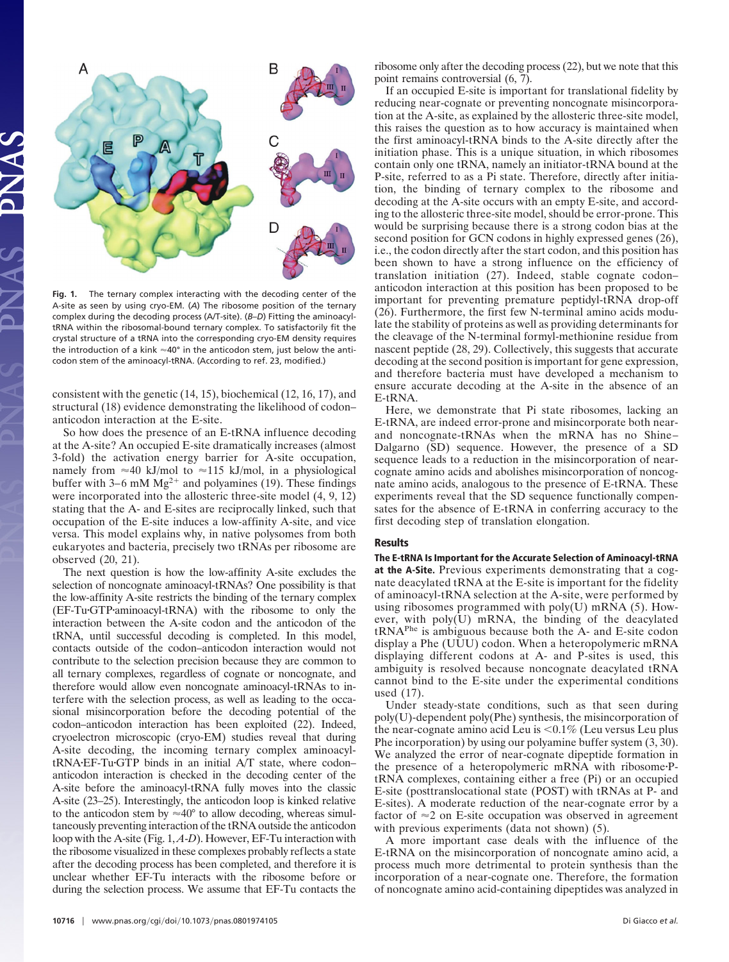

**Fig. 1.** The ternary complex interacting with the decoding center of the A-site as seen by using cryo-EM. (*A*) The ribosome position of the ternary complex during the decoding process (A/T-site). (*B*–*D*) Fitting the aminoacyltRNA within the ribosomal-bound ternary complex. To satisfactorily fit the crystal structure of a tRNA into the corresponding cryo-EM density requires the introduction of a kink  $\approx$ 40° in the anticodon stem, just below the anticodon stem of the aminoacyl-tRNA. (According to ref. 23, modified.)

consistent with the genetic (14, 15), biochemical (12, 16, 17), and structural (18) evidence demonstrating the likelihood of codon– anticodon interaction at the E-site.

So how does the presence of an E-tRNA influence decoding at the A-site? An occupied E-site dramatically increases (almost 3-fold) the activation energy barrier for A-site occupation, namely from  $\approx 40$  kJ/mol to  $\approx 115$  kJ/mol, in a physiological buffer with 3–6 mM  $Mg^{2+}$  and polyamines (19). These findings were incorporated into the allosteric three-site model (4, 9, 12) stating that the A- and E-sites are reciprocally linked, such that occupation of the E-site induces a low-affinity A-site, and vice versa. This model explains why, in native polysomes from both eukaryotes and bacteria, precisely two tRNAs per ribosome are observed (20, 21).

The next question is how the low-affinity A-site excludes the selection of noncognate aminoacyl-tRNAs? One possibility is that the low-affinity A-site restricts the binding of the ternary complex (EF-TuGTPaminoacyl-tRNA) with the ribosome to only the interaction between the A-site codon and the anticodon of the tRNA, until successful decoding is completed. In this model, contacts outside of the codon–anticodon interaction would not contribute to the selection precision because they are common to all ternary complexes, regardless of cognate or noncognate, and therefore would allow even noncognate aminoacyl-tRNAs to interfere with the selection process, as well as leading to the occasional misincorporation before the decoding potential of the codon–anticodon interaction has been exploited (22). Indeed, cryoelectron microscopic (cryo-EM) studies reveal that during A-site decoding, the incoming ternary complex aminoacyltRNAEF-TuGTP binds in an initial A/T state, where codon– anticodon interaction is checked in the decoding center of the A-site before the aminoacyl-tRNA fully moves into the classic A-site (23–25). Interestingly, the anticodon loop is kinked relative to the anticodon stem by  $\approx 40^{\circ}$  to allow decoding, whereas simultaneously preventing interaction of the tRNA outside the anticodon loop with the A-site (Fig. 1, *A*-*D*). However, EF-Tu interaction with the ribosome visualized in these complexes probably reflects a state after the decoding process has been completed, and therefore it is unclear whether EF-Tu interacts with the ribosome before or during the selection process. We assume that EF-Tu contacts the

ribosome only after the decoding process (22), but we note that this point remains controversial (6, 7).

If an occupied E-site is important for translational fidelity by reducing near-cognate or preventing noncognate misincorporation at the A-site, as explained by the allosteric three-site model, this raises the question as to how accuracy is maintained when the first aminoacyl-tRNA binds to the A-site directly after the initiation phase. This is a unique situation, in which ribosomes contain only one tRNA, namely an initiator-tRNA bound at the P-site, referred to as a Pi state. Therefore, directly after initiation, the binding of ternary complex to the ribosome and decoding at the A-site occurs with an empty E-site, and according to the allosteric three-site model, should be error-prone. This would be surprising because there is a strong codon bias at the second position for GCN codons in highly expressed genes (26), i.e., the codon directly after the start codon, and this position has been shown to have a strong influence on the efficiency of translation initiation (27). Indeed, stable cognate codon– anticodon interaction at this position has been proposed to be important for preventing premature peptidyl-tRNA drop-off (26). Furthermore, the first few N-terminal amino acids modulate the stability of proteins as well as providing determinants for the cleavage of the N-terminal formyl-methionine residue from nascent peptide (28, 29). Collectively, this suggests that accurate decoding at the second position is important for gene expression, and therefore bacteria must have developed a mechanism to ensure accurate decoding at the A-site in the absence of an E-tRNA.

Here, we demonstrate that Pi state ribosomes, lacking an E-tRNA, are indeed error-prone and misincorporate both nearand noncognate-tRNAs when the mRNA has no Shine– Dalgarno (SD) sequence. However, the presence of a SD sequence leads to a reduction in the misincorporation of nearcognate amino acids and abolishes misincorporation of noncognate amino acids, analogous to the presence of E-tRNA. These experiments reveal that the SD sequence functionally compensates for the absence of E-tRNA in conferring accuracy to the first decoding step of translation elongation.

### **Results**

**The E-tRNA Is Important for the Accurate Selection of Aminoacyl-tRNA at the A-Site.** Previous experiments demonstrating that a cognate deacylated tRNA at the E-site is important for the fidelity of aminoacyl-tRNA selection at the A-site, were performed by using ribosomes programmed with  $poly(U)$  mRNA (5). However, with  $poly(U)$  mRNA, the binding of the deacylated tRNAPhe is ambiguous because both the A- and E-site codon display a Phe (UUU) codon. When a heteropolymeric mRNA displaying different codons at A- and P-sites is used, this ambiguity is resolved because noncognate deacylated tRNA cannot bind to the E-site under the experimental conditions used (17).

Under steady-state conditions, such as that seen during poly(U)-dependent poly(Phe) synthesis, the misincorporation of the near-cognate amino acid Leu is  $\leq 0.1\%$  (Leu versus Leu plus Phe incorporation) by using our polyamine buffer system (3, 30). We analyzed the error of near-cognate dipeptide formation in the presence of a heteropolymeric mRNA with ribosome PtRNA complexes, containing either a free (Pi) or an occupied E-site (posttranslocational state (POST) with tRNAs at P- and E-sites). A moderate reduction of the near-cognate error by a factor of  $\approx$  2 on E-site occupation was observed in agreement with previous experiments (data not shown) (5).

A more important case deals with the influence of the E-tRNA on the misincorporation of noncognate amino acid, a process much more detrimental to protein synthesis than the incorporation of a near-cognate one. Therefore, the formation of noncognate amino acid-containing dipeptides was analyzed in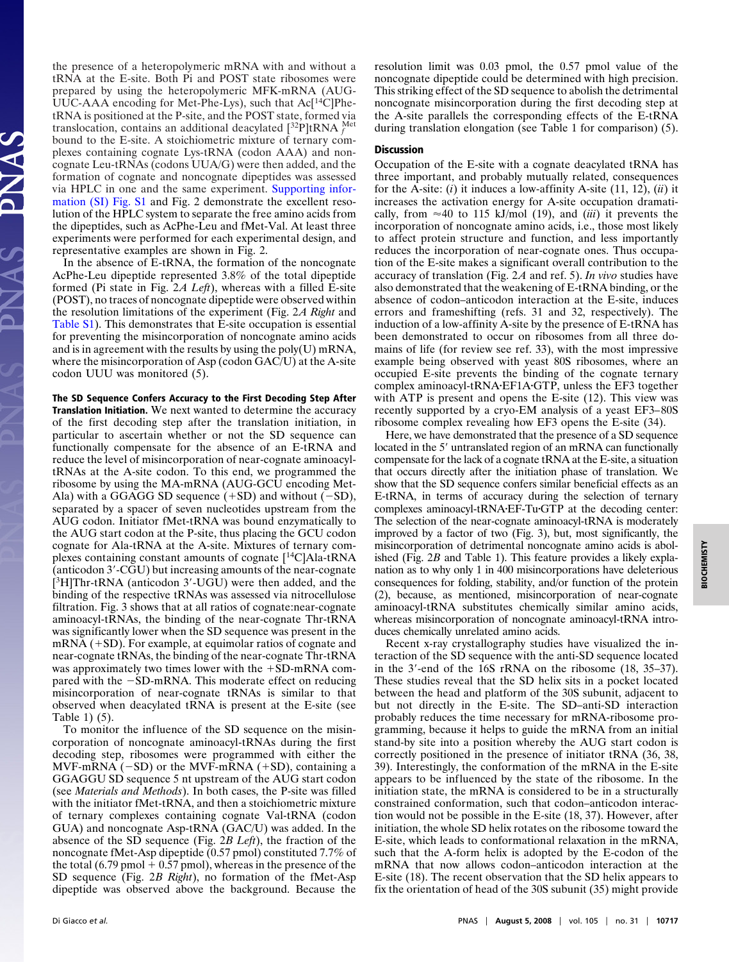the presence of a heteropolymeric mRNA with and without a tRNA at the E-site. Both Pi and POST state ribosomes were prepared by using the heteropolymeric MFK-mRNA (AUG-UUC-AAA encoding for Met-Phe-Lys), such that Ac[14C]PhetRNA is positioned at the P-site, and the POST state, formed via translocation, contains an additional deacylated  $[^{32}P]$ tRNA  $^{Met}_{f}$ bound to the E-site. A stoichiometric mixture of ternary complexes containing cognate Lys-tRNA (codon AAA) and noncognate Leu-tRNAs (codons UUA/G) were then added, and the formation of cognate and noncognate dipeptides was assessed via HPLC in one and the same experiment. [Supporting infor](http://www.pnas.org/cgi/data/0801974105/DCSupplemental/Supplemental_PDF#nameddest=SF1)[mation \(SI\) Fig. S1](http://www.pnas.org/cgi/data/0801974105/DCSupplemental/Supplemental_PDF#nameddest=SF1) and Fig. 2 demonstrate the excellent resolution of the HPLC system to separate the free amino acids from the dipeptides, such as AcPhe-Leu and fMet-Val. At least three experiments were performed for each experimental design, and representative examples are shown in Fig. 2.

In the absence of E-tRNA, the formation of the noncognate AcPhe-Leu dipeptide represented 3.8% of the total dipeptide formed (Pi state in Fig. 2*A Left*), whereas with a filled E-site (POST), no traces of noncognate dipeptide were observed within the resolution limitations of the experiment (Fig. 2*A Right* and [Table S1\)](http://www.pnas.org/cgi/data/0801974105/DCSupplemental/Supplemental_PDF#nameddest=ST1). This demonstrates that E-site occupation is essential for preventing the misincorporation of noncognate amino acids and is in agreement with the results by using the poly(U) mRNA, where the misincorporation of Asp (codon GAC/U) at the A-site codon UUU was monitored (5).

**The SD Sequence Confers Accuracy to the First Decoding Step After Translation Initiation.** We next wanted to determine the accuracy of the first decoding step after the translation initiation, in particular to ascertain whether or not the SD sequence can functionally compensate for the absence of an E-tRNA and reduce the level of misincorporation of near-cognate aminoacyltRNAs at the A-site codon. To this end, we programmed the ribosome by using the MA-mRNA (AUG-GCU encoding Met-Ala) with a GGAGG SD sequence  $(+SD)$  and without  $(-SD)$ , separated by a spacer of seven nucleotides upstream from the AUG codon. Initiator fMet-tRNA was bound enzymatically to the AUG start codon at the P-site, thus placing the GCU codon cognate for Ala-tRNA at the A-site. Mixtures of ternary complexes containing constant amounts of cognate [14C]Ala-tRNA (anticodon 3-CGU) but increasing amounts of the near-cognate  $[3H]$ Thr-tRNA (anticodon 3'-UGU) were then added, and the binding of the respective tRNAs was assessed via nitrocellulose filtration. Fig. 3 shows that at all ratios of cognate:near-cognate aminoacyl-tRNAs, the binding of the near-cognate Thr-tRNA was significantly lower when the SD sequence was present in the  $mRNA$  (+SD). For example, at equimolar ratios of cognate and near-cognate tRNAs, the binding of the near-cognate Thr-tRNA was approximately two times lower with the  $+SD$ -mRNA compared with the -SD-mRNA. This moderate effect on reducing misincorporation of near-cognate tRNAs is similar to that observed when deacylated tRNA is present at the E-site (see Table 1) (5).

To monitor the influence of the SD sequence on the misincorporation of noncognate aminoacyl-tRNAs during the first decoding step, ribosomes were programmed with either the  $MVF-mRNA$  ( $-SD$ ) or the MVF-mRNA ( $+SD$ ), containing a GGAGGU SD sequence 5 nt upstream of the AUG start codon (see *Materials and Methods*). In both cases, the P-site was filled with the initiator fMet-tRNA, and then a stoichiometric mixture of ternary complexes containing cognate Val-tRNA (codon GUA) and noncognate Asp-tRNA (GAC/U) was added. In the absence of the SD sequence (Fig. 2*B Left*), the fraction of the noncognate fMet-Asp dipeptide (0.57 pmol) constituted 7.7% of the total  $(6.79 \text{ pmol} + 0.57 \text{ pmol})$ , whereas in the presence of the SD sequence (Fig. 2*B Right*), no formation of the fMet-Asp dipeptide was observed above the background. Because the resolution limit was 0.03 pmol, the 0.57 pmol value of the noncognate dipeptide could be determined with high precision. This striking effect of the SD sequence to abolish the detrimental noncognate misincorporation during the first decoding step at the A-site parallels the corresponding effects of the E-tRNA during translation elongation (see Table 1 for comparison) (5).

## **Discussion**

Occupation of the E-site with a cognate deacylated tRNA has three important, and probably mutually related, consequences for the A-site: (*i*) it induces a low-affinity A-site (11, 12), (*ii*) it increases the activation energy for A-site occupation dramatically, from  $\approx$  40 to 115 kJ/mol (19), and (*iii*) it prevents the incorporation of noncognate amino acids, i.e., those most likely to affect protein structure and function, and less importantly reduces the incorporation of near-cognate ones. Thus occupation of the E-site makes a significant overall contribution to the accuracy of translation (Fig. 2*A* and ref. 5). *In vivo* studies have also demonstrated that the weakening of E-tRNA binding, or the absence of codon–anticodon interaction at the E-site, induces errors and frameshifting (refs. 31 and 32, respectively). The induction of a low-affinity A-site by the presence of E-tRNA has been demonstrated to occur on ribosomes from all three domains of life (for review see ref. 33), with the most impressive example being observed with yeast 80S ribosomes, where an occupied E-site prevents the binding of the cognate ternary complex aminoacyl-tRNA·EF1A·GTP, unless the EF3 together with ATP is present and opens the E-site (12). This view was recently supported by a cryo-EM analysis of a yeast EF3–80S ribosome complex revealing how EF3 opens the E-site (34).

Here, we have demonstrated that the presence of a SD sequence located in the 5' untranslated region of an mRNA can functionally compensate for the lack of a cognate tRNA at the E-site, a situation that occurs directly after the initiation phase of translation. We show that the SD sequence confers similar beneficial effects as an E-tRNA, in terms of accuracy during the selection of ternary complexes aminoacyl-tRNA-EF-Tu-GTP at the decoding center: The selection of the near-cognate aminoacyl-tRNA is moderately improved by a factor of two (Fig. 3), but, most significantly, the misincorporation of detrimental noncognate amino acids is abolished (Fig. 2*B* and Table 1). This feature provides a likely explanation as to why only 1 in 400 misincorporations have deleterious consequences for folding, stability, and/or function of the protein (2), because, as mentioned, misincorporation of near-cognate aminoacyl-tRNA substitutes chemically similar amino acids, whereas misincorporation of noncognate aminoacyl-tRNA introduces chemically unrelated amino acids.

Recent x-ray crystallography studies have visualized the interaction of the SD sequence with the anti-SD sequence located in the 3'-end of the 16S rRNA on the ribosome (18, 35–37). These studies reveal that the SD helix sits in a pocket located between the head and platform of the 30S subunit, adjacent to but not directly in the E-site. The SD–anti-SD interaction probably reduces the time necessary for mRNA-ribosome programming, because it helps to guide the mRNA from an initial stand-by site into a position whereby the AUG start codon is correctly positioned in the presence of initiator tRNA (36, 38, 39). Interestingly, the conformation of the mRNA in the E-site appears to be influenced by the state of the ribosome. In the initiation state, the mRNA is considered to be in a structurally constrained conformation, such that codon–anticodon interaction would not be possible in the E-site (18, 37). However, after initiation, the whole SD helix rotates on the ribosome toward the E-site, which leads to conformational relaxation in the mRNA, such that the A-form helix is adopted by the E-codon of the mRNA that now allows codon–anticodon interaction at the E-site (18). The recent observation that the SD helix appears to fix the orientation of head of the 30S subunit (35) might provide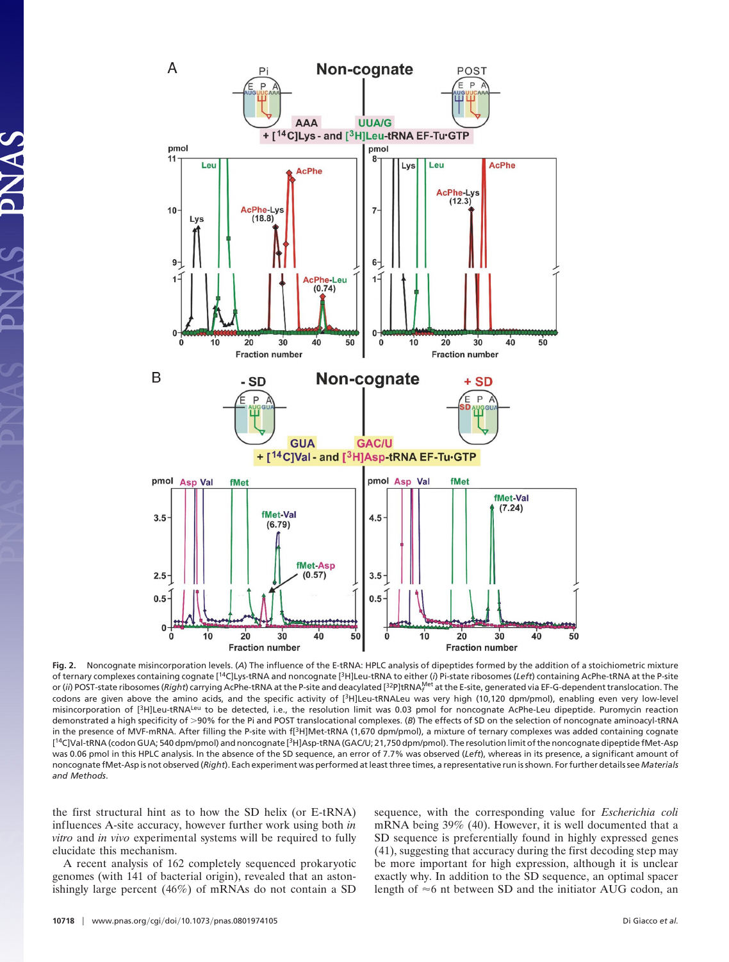

**Fig. 2.** Noncognate misincorporation levels. (*A*) The influence of the E-tRNA: HPLC analysis of dipeptides formed by the addition of a stoichiometric mixture of ternary complexes containing cognate [14C]Lys-tRNA and noncognate [3H]Leu-tRNA to either (*i*) Pi-state ribosomes (*Left*) containing AcPhe-tRNA at the P-site or (*ii*) POST-state ribosomes (*Right*) carrying AcPhe-tRNA at the P-site and deacylated [32P]tRNA*<sup>f</sup>* Met at the E-site, generated via EF-G-dependent translocation. The codons are given above the amino acids, and the specific activity of [3H]Leu-tRNALeu was very high (10,120 dpm/pmol), enabling even very low-level misincorporation of [3H]Leu-tRNALeu to be detected, i.e., the resolution limit was 0.03 pmol for noncognate AcPhe-Leu dipeptide. Puromycin reaction demonstrated a high specificity of 90% for the Pi and POST translocational complexes. (*B*) The effects of SD on the selection of noncognate aminoacyl-tRNA in the presence of MVF-mRNA. After filling the P-site with f[<sup>3</sup>H]Met-tRNA (1,670 dpm/pmol), a mixture of ternary complexes was added containing cognate [14C]Val-tRNA (codon GUA; 540 dpm/pmol) and noncognate [3H]Asp-tRNA (GAC/U; 21,750 dpm/pmol). The resolution limit of the noncognate dipeptide fMet-Asp was 0.06 pmol in this HPLC analysis. In the absence of the SD sequence, an error of 7.7% was observed (*Left*), whereas in its presence, a significant amount of noncognate fMet-Asp is not observed (*Right*). Each experiment was performed at least three times, a representative run is shown. For further details see *Materials and Methods*.

the first structural hint as to how the SD helix (or E-tRNA) influences A-site accuracy, however further work using both *in vitro* and *in vivo* experimental systems will be required to fully elucidate this mechanism.

A recent analysis of 162 completely sequenced prokaryotic genomes (with 141 of bacterial origin), revealed that an astonishingly large percent (46%) of mRNAs do not contain a SD sequence, with the corresponding value for *Escherichia coli* mRNA being 39% (40). However, it is well documented that a SD sequence is preferentially found in highly expressed genes (41), suggesting that accuracy during the first decoding step may be more important for high expression, although it is unclear exactly why. In addition to the SD sequence, an optimal spacer length of  $\approx$ 6 nt between SD and the initiator AUG codon, an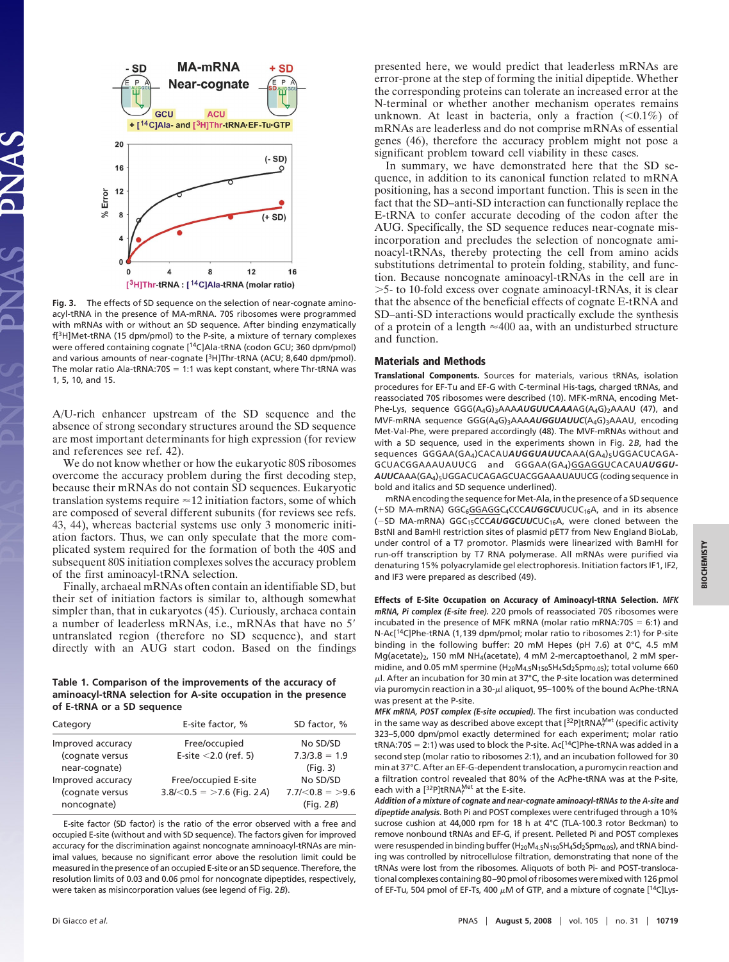

**Fig. 3.** The effects of SD sequence on the selection of near-cognate aminoacyl-tRNA in the presence of MA-mRNA. 70S ribosomes were programmed with mRNAs with or without an SD sequence. After binding enzymatically f[3H]Met-tRNA (15 dpm/pmol) to the P-site, a mixture of ternary complexes were offered containing cognate [14C]Ala-tRNA (codon GCU; 360 dpm/pmol) and various amounts of near-cognate [3H]Thr-tRNA (ACU; 8,640 dpm/pmol). The molar ratio Ala-tRNA:70S = 1:1 was kept constant, where Thr-tRNA was 1, 5, 10, and 15.

A/U-rich enhancer upstream of the SD sequence and the absence of strong secondary structures around the SD sequence are most important determinants for high expression (for review and references see ref. 42).

We do not know whether or how the eukaryotic 80S ribosomes overcome the accuracy problem during the first decoding step, because their mRNAs do not contain SD sequences. Eukaryotic translation systems require  $\approx$  12 initiation factors, some of which are composed of several different subunits (for reviews see refs. 43, 44), whereas bacterial systems use only 3 monomeric initiation factors. Thus, we can only speculate that the more complicated system required for the formation of both the 40S and subsequent 80S initiation complexes solves the accuracy problem of the first aminoacyl-tRNA selection.

Finally, archaeal mRNAs often contain an identifiable SD, but their set of initiation factors is similar to, although somewhat simpler than, that in eukaryotes (45). Curiously, archaea contain a number of leaderless mRNAs, i.e., mRNAs that have no 5 untranslated region (therefore no SD sequence), and start directly with an AUG start codon. Based on the findings

#### **Table 1. Comparison of the improvements of the accuracy of aminoacyl-tRNA selection for A-site occupation in the presence of E-tRNA or a SD sequence**

| Category          | E-site factor, %            | SD factor, %     |
|-------------------|-----------------------------|------------------|
| Improved accuracy | Free/occupied               | No SD/SD         |
| (cognate versus   | E-site $<$ 2.0 (ref. 5)     | $7.3/3.8 = 1.9$  |
| near-cognate)     |                             | (Fiq. 3)         |
| Improved accuracy | Free/occupied E-site        | No SD/SD         |
| (cognate versus   | $3.8 / 0.5 = 7.6$ (Fig. 2A) | $7.7/0.8 = >9.6$ |
| noncognate)       |                             | (Fiq. 2B)        |

E-site factor (SD factor) is the ratio of the error observed with a free and occupied E-site (without and with SD sequence). The factors given for improved accuracy for the discrimination against noncognate amninoacyl-tRNAs are minimal values, because no significant error above the resolution limit could be measured in the presence of an occupied E-site or an SD sequence. Therefore, the resolution limits of 0.03 and 0.06 pmol for noncognate dipeptides, respectively, were taken as misincorporation values (see legend of Fig. 2*B*).

presented here, we would predict that leaderless mRNAs are error-prone at the step of forming the initial dipeptide. Whether the corresponding proteins can tolerate an increased error at the N-terminal or whether another mechanism operates remains unknown. At least in bacteria, only a fraction  $(\leq 0.1\%)$  of mRNAs are leaderless and do not comprise mRNAs of essential genes (46), therefore the accuracy problem might not pose a significant problem toward cell viability in these cases.

In summary, we have demonstrated here that the SD sequence, in addition to its canonical function related to mRNA positioning, has a second important function. This is seen in the fact that the SD–anti-SD interaction can functionally replace the E-tRNA to confer accurate decoding of the codon after the AUG. Specifically, the SD sequence reduces near-cognate misincorporation and precludes the selection of noncognate aminoacyl-tRNAs, thereby protecting the cell from amino acids substitutions detrimental to protein folding, stability, and function. Because noncognate aminoacyl-tRNAs in the cell are in 5- to 10-fold excess over cognate aminoacyl-tRNAs, it is clear that the absence of the beneficial effects of cognate E-tRNA and SD–anti-SD interactions would practically exclude the synthesis of a protein of a length  $\approx$ 400 aa, with an undisturbed structure and function.

#### **Materials and Methods**

**Translational Components.** Sources for materials, various tRNAs, isolation procedures for EF-Tu and EF-G with C-terminal His-tags, charged tRNAs, and reassociated 70S ribosomes were described (10). MFK-mRNA, encoding Met-Phe-Lys, sequence GGG(A<sub>4</sub>G)<sub>3</sub>AAAA*UGUUCAAA*AG(A<sub>4</sub>G)<sub>2</sub>AAAU (47), and MVF-mRNA sequence GGG(A4G)3AAA*AUGGUAUUC*(A4G)3AAAU, encoding Met-Val-Phe, were prepared accordingly (48). The MVF-mRNAs without and with a SD sequence, used in the experiments shown in Fig. 2*B*, had the sequences GGGAA(GA4)CACAUAUGGUAUUCAAA(GA4)5UGGACUCAGA-GCUACGGAAAUAUUCG and GGGAA(GA4)GGAGGUCACAU*AUGGU-AUUC*AAA(GA4)5UGGACUCAGAGCUACGGAAAUAUUCG (coding sequence in bold and italics and SD sequence underlined).

mRNA encoding the sequence for Met-Ala, in the presence of a SD sequence (+SD MA-mRNA) GGC<sub>6</sub>GGAGGC<sub>4</sub>CCCAUGGCUUCUC<sub>16</sub>A, and in its absence (-SD MA-mRNA) GGC<sub>15</sub>CCCAUGGCUUCUC<sub>16</sub>A, were cloned between the BstNI and BamHI restriction sites of plasmid pET7 from New England BioLab, under control of a T7 promotor. Plasmids were linearized with BamHI for run-off transcription by T7 RNA polymerase. All mRNAs were purified via denaturing 15% polyacrylamide gel electrophoresis. Initiation factors IF1, IF2, and IF3 were prepared as described (49).

**Effects of E-Site Occupation on Accuracy of Aminoacyl-tRNA Selection. MFK mRNA, Pi complex (E-site free).** 220 pmols of reassociated 70S ribosomes were incubated in the presence of MFK mRNA (molar ratio mRNA:70S = 6:1) and N-Ac[14C]Phe-tRNA (1,139 dpm/pmol; molar ratio to ribosomes 2:1) for P-site binding in the following buffer: 20 mM Hepes (pH 7.6) at 0°C, 4.5 mM Mg(acetate)<sub>2</sub>, 150 mM NH<sub>4</sub>(acetate), 4 mM 2-mercaptoethanol, 2 mM spermidine, and 0.05 mM spermine  $(H_{20}M_{4.5}N_{150}SH_4Sd_2Spm_{0.05})$ ; total volume 660  $\mu$ l. After an incubation for 30 min at 37°C, the P-site location was determined via puromycin reaction in a 30- $\mu$ l aliquot, 95–100% of the bound AcPhe-tRNA was present at the P-site.

**MFK mRNA, POST complex (E-site occupied).** The first incubation was conducted in the same way as described above except that [<sup>32</sup>P]tRNA<sup>Met</sup> (specific activity 323–5,000 dpm/pmol exactly determined for each experiment; molar ratio tRNA:70S = 2:1) was used to block the P-site. Ac[<sup>14</sup>C]Phe-tRNA was added in a second step (molar ratio to ribosomes 2:1), and an incubation followed for 30 min at 37°C. After an EF-G-dependent translocation, a puromycin reaction and a filtration control revealed that 80% of the AcPhe-tRNA was at the P-site, each with a [<sup>32</sup>P]tRNA<sup>Met</sup> at the E-site.

Addition of a mixture of cognate and near-cognate aminoacyl-tRNAs to the A-site and **dipeptide analysis.** Both Pi and POST complexes were centrifuged through a 10% sucrose cushion at 44,000 rpm for 18 h at 4°C (TLA-100.3 rotor Beckman) to remove nonbound tRNAs and EF-G, if present. Pelleted Pi and POST complexes were resuspended in binding buffer  $(H_{20}M_{4.5}N_{150}SH_4Sd_2Spm_{0.05})$ , and tRNA binding was controlled by nitrocellulose filtration, demonstrating that none of the tRNAs were lost from the ribosomes. Aliquots of both Pi- and POST-translocational complexes containing 80–90 pmol of ribosomes were mixed with 126 pmol of EF-Tu, 504 pmol of EF-Ts, 400  $\mu$ M of GTP, and a mixture of cognate [<sup>14</sup>C]Lys